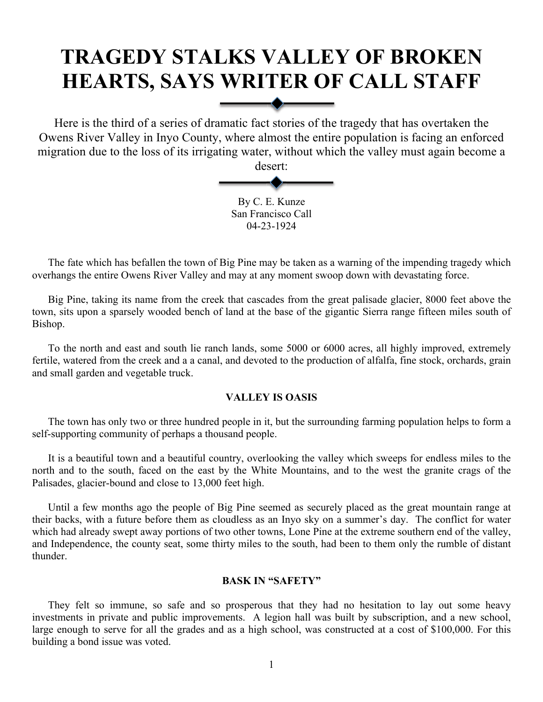# **TRAGEDY STALKS VALLEY OF BROKEN HEARTS, SAYS WRITER OF CALL STAFF**

Here is the third of a series of dramatic fact stories of the tragedy that has overtaken the Owens River Valley in Inyo County, where almost the entire population is facing an enforced migration due to the loss of its irrigating water, without which the valley must again become a

desert:

By C. E. Kunze San Francisco Call 04-23-1924

The fate which has befallen the town of Big Pine may be taken as a warning of the impending tragedy which overhangs the entire Owens River Valley and may at any moment swoop down with devastating force.

Big Pine, taking its name from the creek that cascades from the great palisade glacier, 8000 feet above the town, sits upon a sparsely wooded bench of land at the base of the gigantic Sierra range fifteen miles south of Bishop.

To the north and east and south lie ranch lands, some 5000 or 6000 acres, all highly improved, extremely fertile, watered from the creek and a a canal, and devoted to the production of alfalfa, fine stock, orchards, grain and small garden and vegetable truck.

## **VALLEY IS OASIS**

The town has only two or three hundred people in it, but the surrounding farming population helps to form a self-supporting community of perhaps a thousand people.

It is a beautiful town and a beautiful country, overlooking the valley which sweeps for endless miles to the north and to the south, faced on the east by the White Mountains, and to the west the granite crags of the Palisades, glacier-bound and close to 13,000 feet high.

Until a few months ago the people of Big Pine seemed as securely placed as the great mountain range at their backs, with a future before them as cloudless as an Inyo sky on a summer's day. The conflict for water which had already swept away portions of two other towns, Lone Pine at the extreme southern end of the valley, and Independence, the county seat, some thirty miles to the south, had been to them only the rumble of distant thunder.

#### **BASK IN "SAFETY"**

They felt so immune, so safe and so prosperous that they had no hesitation to lay out some heavy investments in private and public improvements. A legion hall was built by subscription, and a new school, large enough to serve for all the grades and as a high school, was constructed at a cost of \$100,000. For this building a bond issue was voted.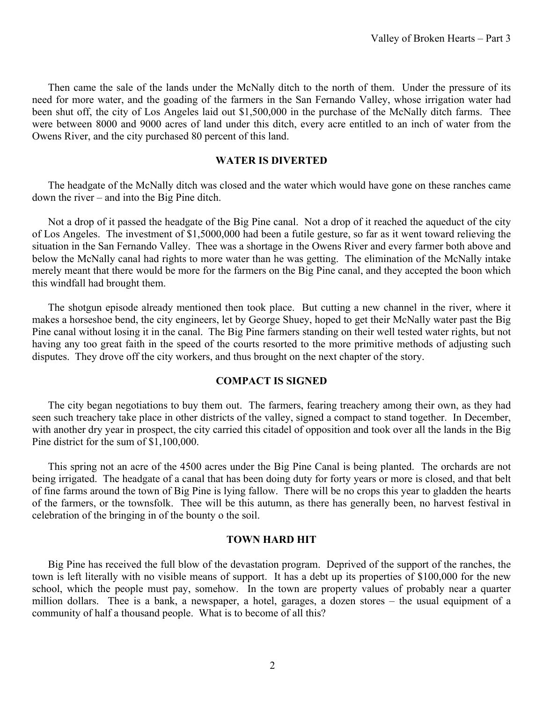Then came the sale of the lands under the McNally ditch to the north of them. Under the pressure of its need for more water, and the goading of the farmers in the San Fernando Valley, whose irrigation water had been shut off, the city of Los Angeles laid out \$1,500,000 in the purchase of the McNally ditch farms. Thee were between 8000 and 9000 acres of land under this ditch, every acre entitled to an inch of water from the Owens River, and the city purchased 80 percent of this land.

### **WATER IS DIVERTED**

The headgate of the McNally ditch was closed and the water which would have gone on these ranches came down the river – and into the Big Pine ditch.

Not a drop of it passed the headgate of the Big Pine canal. Not a drop of it reached the aqueduct of the city of Los Angeles. The investment of \$1,5000,000 had been a futile gesture, so far as it went toward relieving the situation in the San Fernando Valley. Thee was a shortage in the Owens River and every farmer both above and below the McNally canal had rights to more water than he was getting. The elimination of the McNally intake merely meant that there would be more for the farmers on the Big Pine canal, and they accepted the boon which this windfall had brought them.

The shotgun episode already mentioned then took place. But cutting a new channel in the river, where it makes a horseshoe bend, the city engineers, let by George Shuey, hoped to get their McNally water past the Big Pine canal without losing it in the canal. The Big Pine farmers standing on their well tested water rights, but not having any too great faith in the speed of the courts resorted to the more primitive methods of adjusting such disputes. They drove off the city workers, and thus brought on the next chapter of the story.

## **COMPACT IS SIGNED**

The city began negotiations to buy them out. The farmers, fearing treachery among their own, as they had seen such treachery take place in other districts of the valley, signed a compact to stand together. In December, with another dry year in prospect, the city carried this citadel of opposition and took over all the lands in the Big Pine district for the sum of \$1,100,000.

This spring not an acre of the 4500 acres under the Big Pine Canal is being planted. The orchards are not being irrigated. The headgate of a canal that has been doing duty for forty years or more is closed, and that belt of fine farms around the town of Big Pine is lying fallow. There will be no crops this year to gladden the hearts of the farmers, or the townsfolk. Thee will be this autumn, as there has generally been, no harvest festival in celebration of the bringing in of the bounty o the soil.

#### **TOWN HARD HIT**

Big Pine has received the full blow of the devastation program. Deprived of the support of the ranches, the town is left literally with no visible means of support. It has a debt up its properties of \$100,000 for the new school, which the people must pay, somehow. In the town are property values of probably near a quarter million dollars. Thee is a bank, a newspaper, a hotel, garages, a dozen stores – the usual equipment of a community of half a thousand people. What is to become of all this?